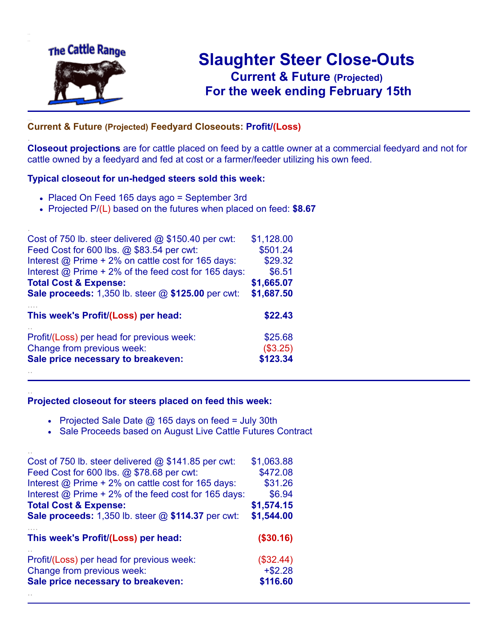

.

..

## **Slaughter Steer Close-Outs Current & Future (Projected)** .**For the week ending February 15th**

## ... **Current & Future (Projected) Feedyard Closeouts: Profit/(Loss)**

**Closeout projections** are for cattle placed on feed by a cattle owner at a commercial feedyard and not for cattle owned by a feedyard and fed at cost or a farmer/feeder utilizing his own feed.

#### **Typical closeout for un-hedged steers sold this week:**

- Placed On Feed 165 days ago = September 3rd
- Projected P/(L) based on the futures when placed on feed: **\$8.67**

| Cost of 750 lb. steer delivered @ \$150.40 per cwt:         | \$1,128.00 |
|-------------------------------------------------------------|------------|
| Feed Cost for 600 lbs. @ \$83.54 per cwt:                   | \$501.24   |
| Interest $\omega$ Prime + 2% on cattle cost for 165 days:   | \$29.32    |
| Interest $\omega$ Prime + 2% of the feed cost for 165 days: | \$6.51     |
| <b>Total Cost &amp; Expense:</b>                            | \$1,665.07 |
| Sale proceeds: 1,350 lb. steer @ \$125.00 per cwt:          | \$1,687.50 |
| This week's Profit/(Loss) per head:                         | \$22.43    |
| Profit/(Loss) per head for previous week:                   | \$25.68    |
| Change from previous week:                                  | (\$3.25)   |
| Sale price necessary to breakeven:                          | \$123.34   |
|                                                             |            |

#### **Projected closeout for steers placed on feed this week:**

- Projected Sale Date @ 165 days on feed = July 30th
- Sale Proceeds based on August Live Cattle Futures Contract

| Cost of 750 lb. steer delivered $@$ \$141.85 per cwt: | \$1,063.88  |
|-------------------------------------------------------|-------------|
| Feed Cost for 600 lbs. @ \$78.68 per cwt:             | \$472.08    |
| Interest @ Prime + 2% on cattle cost for 165 days:    | \$31.26     |
| Interest @ Prime + 2% of the feed cost for 165 days:  | \$6.94      |
| <b>Total Cost &amp; Expense:</b>                      | \$1,574.15  |
| Sale proceeds: 1,350 lb. steer @ \$114.37 per cwt:    | \$1,544.00  |
|                                                       |             |
| This week's Profit/(Loss) per head:                   | (\$30.16)   |
| Profit/(Loss) per head for previous week:             | $(\$32.44)$ |
| Change from previous week:                            | $+ $2.28$   |
| Sale price necessary to breakeven:                    | \$116.60    |